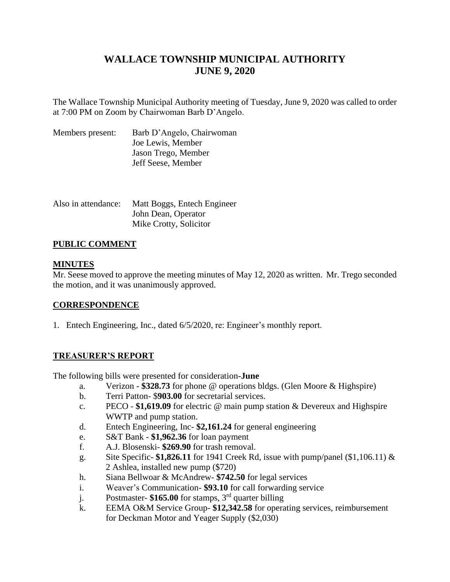# **WALLACE TOWNSHIP MUNICIPAL AUTHORITY JUNE 9, 2020**

The Wallace Township Municipal Authority meeting of Tuesday, June 9, 2020 was called to order at 7:00 PM on Zoom by Chairwoman Barb D'Angelo.

| Members present: | Barb D'Angelo, Chairwoman |
|------------------|---------------------------|
|                  | Joe Lewis, Member         |
|                  | Jason Trego, Member       |
|                  | Jeff Seese, Member        |

| Also in attendance: | Matt Boggs, Entech Engineer |
|---------------------|-----------------------------|
|                     | John Dean, Operator         |
|                     | Mike Crotty, Solicitor      |

## **PUBLIC COMMENT**

## **MINUTES**

Mr. Seese moved to approve the meeting minutes of May 12, 2020 as written. Mr. Trego seconded the motion, and it was unanimously approved.

## **CORRESPONDENCE**

1. Entech Engineering, Inc., dated 6/5/2020, re: Engineer's monthly report.

## **TREASURER'S REPORT**

The following bills were presented for consideration**-June**

- a. Verizon **\$328.73** for phone @ operations bldgs. (Glen Moore & Highspire)
- b. Terri Patton- \$**903.00** for secretarial services.
- c. PECO **\$1,619.09** for electric @ main pump station & Devereux and Highspire WWTP and pump station.
- d. Entech Engineering, Inc- **\$2,161.24** for general engineering
- e. S&T Bank **\$1,962.36** for loan payment
- f. A.J. Blosenski- **\$269.90** for trash removal.
- g. Site Specific- **\$1,826.11** for 1941 Creek Rd, issue with pump/panel (\$1,106.11) & 2 Ashlea, installed new pump (\$720)
- h. Siana Bellwoar & McAndrew- **\$742.50** for legal services
- i. Weaver's Communication- **\$93.10** for call forwarding service
- j. Postmaster- **\$165.00** for stamps, 3rd quarter billing
- k. EEMA O&M Service Group- **\$12,342.58** for operating services, reimbursement for Deckman Motor and Yeager Supply (\$2,030)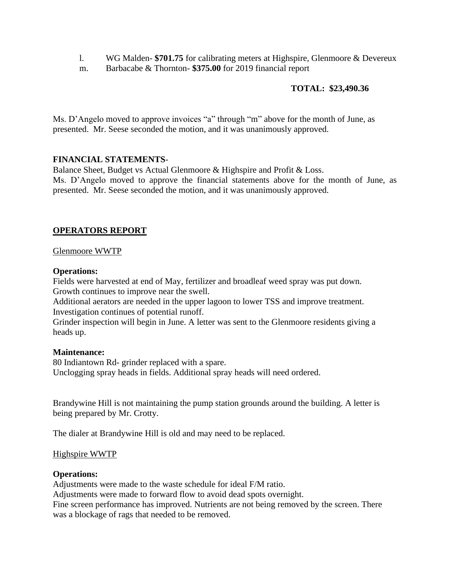- l. WG Malden- **\$701.75** for calibrating meters at Highspire, Glenmoore & Devereux
- m. Barbacabe & Thornton- **\$375.00** for 2019 financial report

## **TOTAL: \$23,490.36**

Ms. D'Angelo moved to approve invoices "a" through "m" above for the month of June, as presented. Mr. Seese seconded the motion, and it was unanimously approved.

## **FINANCIAL STATEMENTS**-

Balance Sheet, Budget vs Actual Glenmoore & Highspire and Profit & Loss. Ms. D'Angelo moved to approve the financial statements above for the month of June, as presented. Mr. Seese seconded the motion, and it was unanimously approved.

## **OPERATORS REPORT**

Glenmoore WWTP

## **Operations:**

Fields were harvested at end of May, fertilizer and broadleaf weed spray was put down. Growth continues to improve near the swell.

Additional aerators are needed in the upper lagoon to lower TSS and improve treatment. Investigation continues of potential runoff.

Grinder inspection will begin in June. A letter was sent to the Glenmoore residents giving a heads up.

#### **Maintenance:**

80 Indiantown Rd- grinder replaced with a spare. Unclogging spray heads in fields. Additional spray heads will need ordered.

Brandywine Hill is not maintaining the pump station grounds around the building. A letter is being prepared by Mr. Crotty.

The dialer at Brandywine Hill is old and may need to be replaced.

#### Highspire WWTP

## **Operations:**

Adjustments were made to the waste schedule for ideal F/M ratio.

Adjustments were made to forward flow to avoid dead spots overnight.

Fine screen performance has improved. Nutrients are not being removed by the screen. There was a blockage of rags that needed to be removed.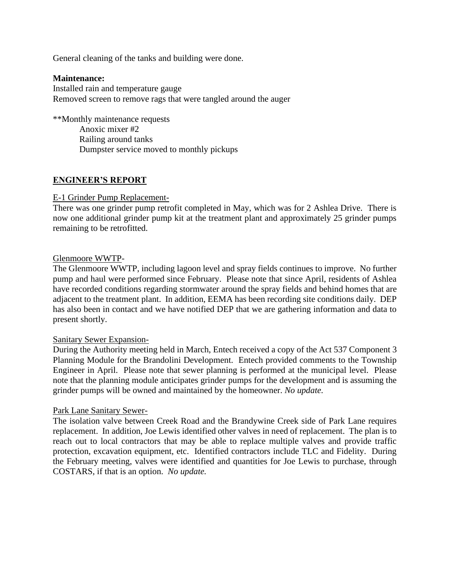General cleaning of the tanks and building were done.

## **Maintenance:**

Installed rain and temperature gauge Removed screen to remove rags that were tangled around the auger

\*\*Monthly maintenance requests Anoxic mixer #2 Railing around tanks Dumpster service moved to monthly pickups

## **ENGINEER'S REPORT**

### E-1 Grinder Pump Replacement-

There was one grinder pump retrofit completed in May, which was for 2 Ashlea Drive. There is now one additional grinder pump kit at the treatment plant and approximately 25 grinder pumps remaining to be retrofitted.

### Glenmoore WWTP-

The Glenmoore WWTP, including lagoon level and spray fields continues to improve. No further pump and haul were performed since February. Please note that since April, residents of Ashlea have recorded conditions regarding stormwater around the spray fields and behind homes that are adjacent to the treatment plant. In addition, EEMA has been recording site conditions daily. DEP has also been in contact and we have notified DEP that we are gathering information and data to present shortly.

#### Sanitary Sewer Expansion-

During the Authority meeting held in March, Entech received a copy of the Act 537 Component 3 Planning Module for the Brandolini Development. Entech provided comments to the Township Engineer in April. Please note that sewer planning is performed at the municipal level. Please note that the planning module anticipates grinder pumps for the development and is assuming the grinder pumps will be owned and maintained by the homeowner. *No update.*

#### Park Lane Sanitary Sewer-

The isolation valve between Creek Road and the Brandywine Creek side of Park Lane requires replacement. In addition, Joe Lewis identified other valves in need of replacement. The plan is to reach out to local contractors that may be able to replace multiple valves and provide traffic protection, excavation equipment, etc. Identified contractors include TLC and Fidelity. During the February meeting, valves were identified and quantities for Joe Lewis to purchase, through COSTARS, if that is an option. *No update.*